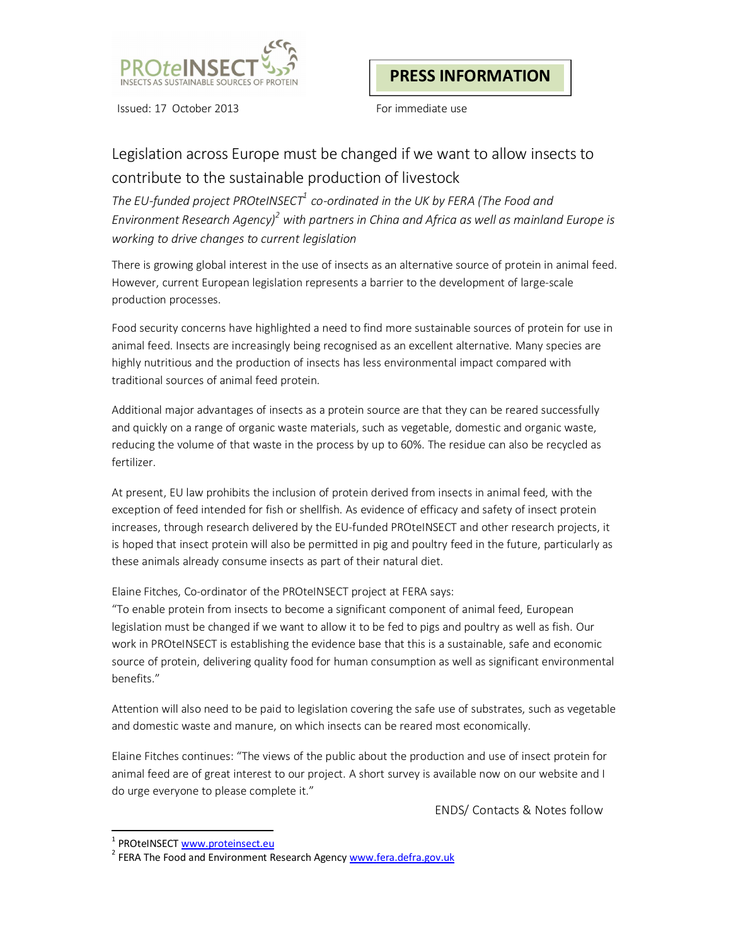

Issued: 17 October 2013 For immediate use

**PRESS INFORMATION**

## Legislation across Europe must be changed if we want to allow insects to contribute to the sustainable production of livestock

*The EU-funded project PROteINSECT1 co-ordinated in the UK by FERA (The Food and Environment Research Agency)2 with partners in China and Africa as well as mainland Europe is working to drive changes to current legislation* 

There is growing global interest in the use of insects as an alternative source of protein in animal feed. However, current European legislation represents a barrier to the development of large-scale production processes.

Food security concerns have highlighted a need to find more sustainable sources of protein for use in animal feed. Insects are increasingly being recognised as an excellent alternative. Many species are highly nutritious and the production of insects has less environmental impact compared with traditional sources of animal feed protein.

Additional major advantages of insects as a protein source are that they can be reared successfully and quickly on a range of organic waste materials, such as vegetable, domestic and organic waste, reducing the volume of that waste in the process by up to 60%. The residue can also be recycled as fertilizer.

At present, EU law prohibits the inclusion of protein derived from insects in animal feed, with the exception of feed intended for fish or shellfish. As evidence of efficacy and safety of insect protein increases, through research delivered by the EU-funded PROteINSECT and other research projects, it is hoped that insect protein will also be permitted in pig and poultry feed in the future, particularly as these animals already consume insects as part of their natural diet.

Elaine Fitches, Co-ordinator of the PROteINSECT project at FERA says:

"To enable protein from insects to become a significant component of animal feed, European legislation must be changed if we want to allow it to be fed to pigs and poultry as well as fish. Our work in PROteINSECT is establishing the evidence base that this is a sustainable, safe and economic source of protein, delivering quality food for human consumption as well as significant environmental benefits."

Attention will also need to be paid to legislation covering the safe use of substrates, such as vegetable and domestic waste and manure, on which insects can be reared most economically.

Elaine Fitches continues: "The views of the public about the production and use of insect protein for animal feed are of great interest to our project. A short survey is available now on our website and I do urge everyone to please complete it."

ENDS/ Contacts & Notes follow

<sup>&</sup>lt;sup>1</sup> PROteINSECT <u>www.proteinsect.eu</u><br><sup>2</sup> FERA The Food and Environment Research Agency <u>www.fera.defra.gov.uk</u>